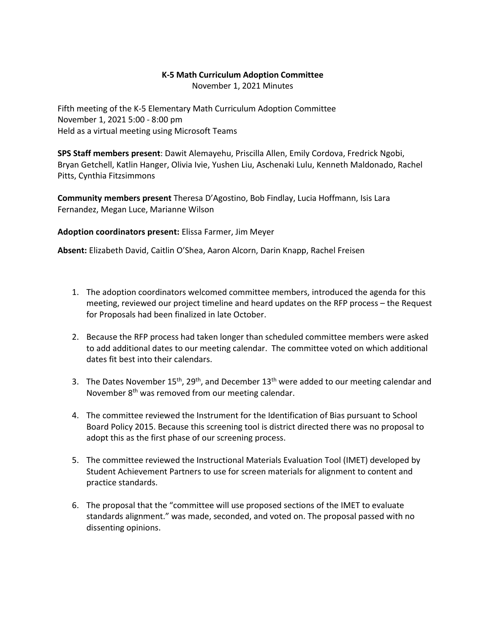## **K-5 Math Curriculum Adoption Committee**

November 1, 2021 Minutes

Fifth meeting of the K-5 Elementary Math Curriculum Adoption Committee November 1, 2021 5:00 - 8:00 pm Held as a virtual meeting using Microsoft Teams

**SPS Staff members present**: Dawit Alemayehu, Priscilla Allen, Emily Cordova, Fredrick Ngobi, Bryan Getchell, Katlin Hanger, Olivia Ivie, Yushen Liu, Aschenaki Lulu, Kenneth Maldonado, Rachel Pitts, Cynthia Fitzsimmons

**Community members present** Theresa D'Agostino, Bob Findlay, Lucia Hoffmann, Isis Lara Fernandez, Megan Luce, Marianne Wilson

## **Adoption coordinators present:** Elissa Farmer, Jim Meyer

**Absent:** Elizabeth David, Caitlin O'Shea, Aaron Alcorn, Darin Knapp, Rachel Freisen

- 1. The adoption coordinators welcomed committee members, introduced the agenda for this meeting, reviewed our project timeline and heard updates on the RFP process – the Request for Proposals had been finalized in late October.
- 2. Because the RFP process had taken longer than scheduled committee members were asked to add additional dates to our meeting calendar. The committee voted on which additional dates fit best into their calendars.
- 3. The Dates November  $15<sup>th</sup>$ , 29<sup>th</sup>, and December  $13<sup>th</sup>$  were added to our meeting calendar and November 8<sup>th</sup> was removed from our meeting calendar.
- 4. The committee reviewed the Instrument for the Identification of Bias pursuant to School Board Policy 2015. Because this screening tool is district directed there was no proposal to adopt this as the first phase of our screening process.
- 5. The committee reviewed the Instructional Materials Evaluation Tool (IMET) developed by Student Achievement Partners to use for screen materials for alignment to content and practice standards.
- 6. The proposal that the "committee will use proposed sections of the IMET to evaluate standards alignment." was made, seconded, and voted on. The proposal passed with no dissenting opinions.